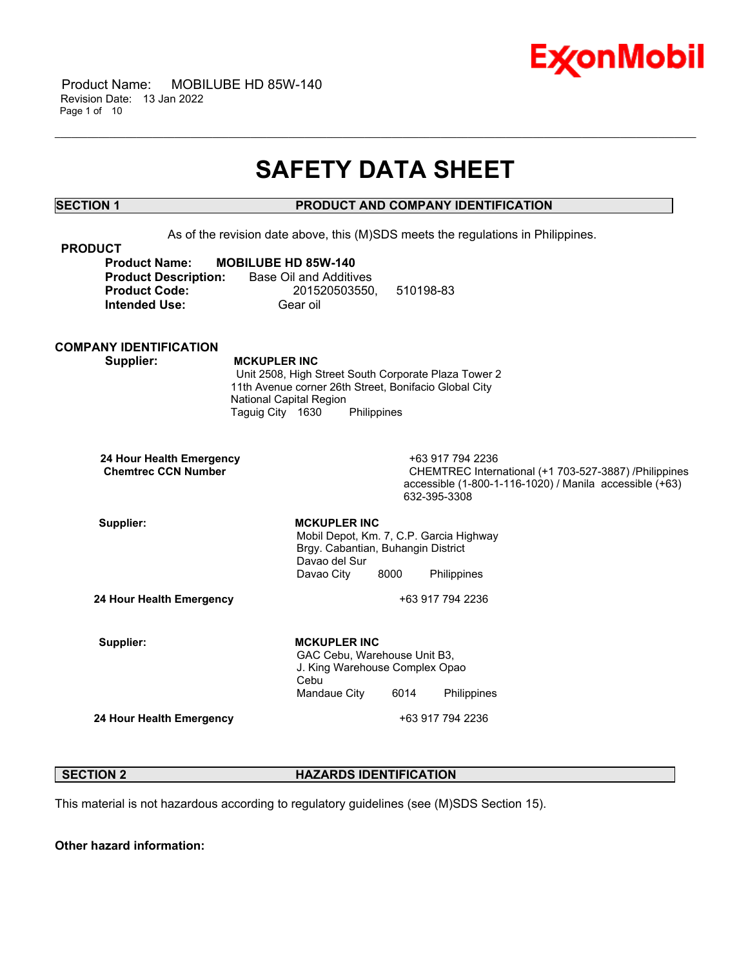

 Product Name: MOBILUBE HD 85W-140 Revision Date: 13 Jan 2022 Page 1 of 10

## **SAFETY DATA SHEET**

\_\_\_\_\_\_\_\_\_\_\_\_\_\_\_\_\_\_\_\_\_\_\_\_\_\_\_\_\_\_\_\_\_\_\_\_\_\_\_\_\_\_\_\_\_\_\_\_\_\_\_\_\_\_\_\_\_\_\_\_\_\_\_\_\_\_\_\_\_\_\_\_\_\_\_\_\_\_\_\_\_\_\_\_\_\_\_\_\_\_\_\_\_\_\_\_\_\_\_\_\_\_\_\_\_\_\_\_\_\_\_\_\_\_\_\_\_\_

### **SECTION 1 PRODUCT AND COMPANY IDENTIFICATION**

As of the revision date above, this (M)SDS meets the regulations in Philippines. **PRODUCT Product Name: MOBILUBE HD 85W-140 Product Description:** Base Oil and Additives **Product Code:** 201520503550, 510198-83 **Intended Use:** Gear oil **COMPANY IDENTIFICATION Supplier: MCKUPLER INC** Unit 2508, High Street South Corporate Plaza Tower 2 11th Avenue corner 26th Street, Bonifacio Global City National Capital Region Taguig City 1630 Philippines **24 Hour Health Emergency** +63 917 794 2236 **CHEMTREC International (+1 703-527-3887) /Philippines** accessible (1-800-1-116-1020) / Manila accessible (+63) 632-395-3308 Supplier: **MCKUPLER** INC Mobil Depot, Km. 7, C.P. Garcia Highway Brgy. Cabantian, Buhangin District Davao del Sur Davao City 8000 Philippines **24 Hour Health Emergency** +63 917 794 2236 Supplier: **MCKUPLER** INC GAC Cebu, Warehouse Unit B3, J. King Warehouse Complex Opao Cebu Mandaue City 6014 Philippines **24 Hour Health Emergency** +63 917 794 2236

### **SECTION 2 HAZARDS IDENTIFICATION**

This material is not hazardous according to regulatory guidelines (see (M)SDS Section 15).

**Other hazard information:**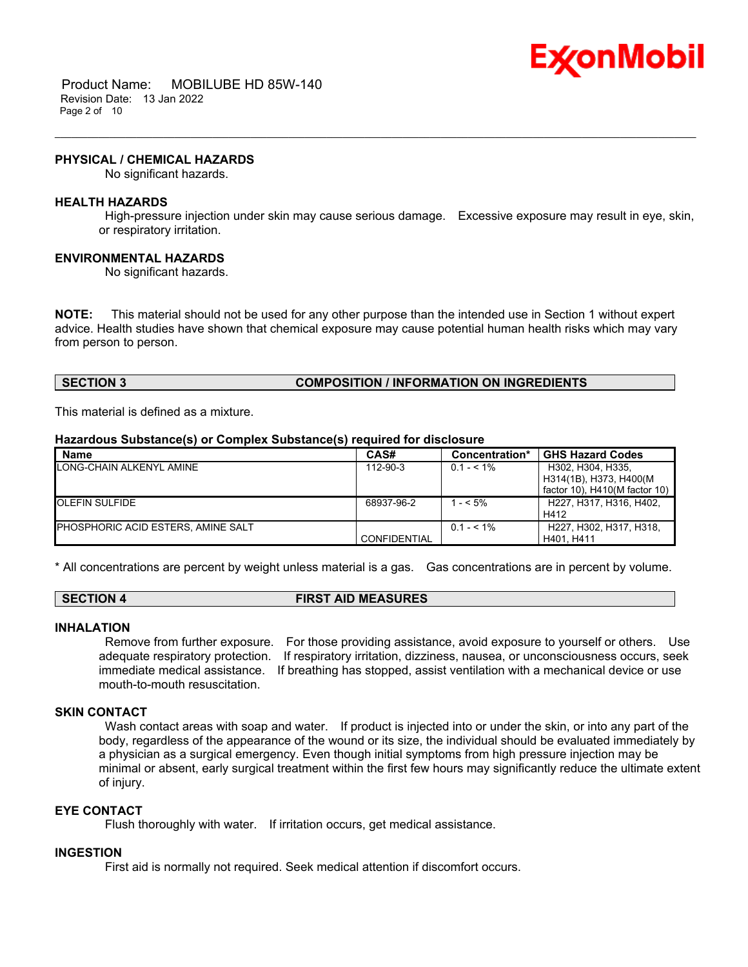

 Product Name: MOBILUBE HD 85W-140 Revision Date: 13 Jan 2022 Page 2 of 10

### **PHYSICAL / CHEMICAL HAZARDS**

No significant hazards.

### **HEALTH HAZARDS**

High-pressure injection under skin may cause serious damage. Excessive exposure may result in eye, skin, or respiratory irritation.

\_\_\_\_\_\_\_\_\_\_\_\_\_\_\_\_\_\_\_\_\_\_\_\_\_\_\_\_\_\_\_\_\_\_\_\_\_\_\_\_\_\_\_\_\_\_\_\_\_\_\_\_\_\_\_\_\_\_\_\_\_\_\_\_\_\_\_\_\_\_\_\_\_\_\_\_\_\_\_\_\_\_\_\_\_\_\_\_\_\_\_\_\_\_\_\_\_\_\_\_\_\_\_\_\_\_\_\_\_\_\_\_\_\_\_\_\_\_

### **ENVIRONMENTAL HAZARDS**

No significant hazards.

**NOTE:** This material should not be used for any other purpose than the intended use in Section 1 without expert advice. Health studies have shown that chemical exposure may cause potential human health risks which may vary from person to person.

### **SECTION 3 COMPOSITION / INFORMATION ON INGREDIENTS**

This material is defined as a mixture.

### **Hazardous Substance(s) or Complex Substance(s) required for disclosure**

| <b>Name</b>                               | CAS#                | Concentration* | <b>GHS Hazard Codes</b>         |
|-------------------------------------------|---------------------|----------------|---------------------------------|
| <b>ILONG-CHAIN ALKENYL AMINE</b>          | 112-90-3            | $0.1 - 5.1\%$  | H302, H304, H335,               |
|                                           |                     |                | H314(1B), H373, H400(M          |
|                                           |                     |                | factor 10), $H410(M$ factor 10) |
| <b>OLEFIN SULFIDE</b>                     | 68937-96-2          | $-5\%$         | H227. H317. H316. H402.         |
|                                           |                     |                | H412                            |
| <b>PHOSPHORIC ACID ESTERS, AMINE SALT</b> |                     | $0.1 - 5.1\%$  | H227, H302, H317, H318,         |
|                                           | <b>CONFIDENTIAL</b> |                | H401. H411                      |

\* All concentrations are percent by weight unless material is a gas. Gas concentrations are in percent by volume.

### **SECTION 4 FIRST AID MEASURES**

### **INHALATION**

Remove from further exposure. For those providing assistance, avoid exposure to yourself or others. Use adequate respiratory protection. If respiratory irritation, dizziness, nausea, or unconsciousness occurs, seek immediate medical assistance. If breathing has stopped, assist ventilation with a mechanical device or use mouth-to-mouth resuscitation.

### **SKIN CONTACT**

Wash contact areas with soap and water. If product is injected into or under the skin, or into any part of the body, regardless of the appearance of the wound or its size, the individual should be evaluated immediately by a physician as a surgical emergency. Even though initial symptoms from high pressure injection may be minimal or absent, early surgical treatment within the first few hours may significantly reduce the ultimate extent of injury.

### **EYE CONTACT**

Flush thoroughly with water. If irritation occurs, get medical assistance.

### **INGESTION**

First aid is normally not required. Seek medical attention if discomfort occurs.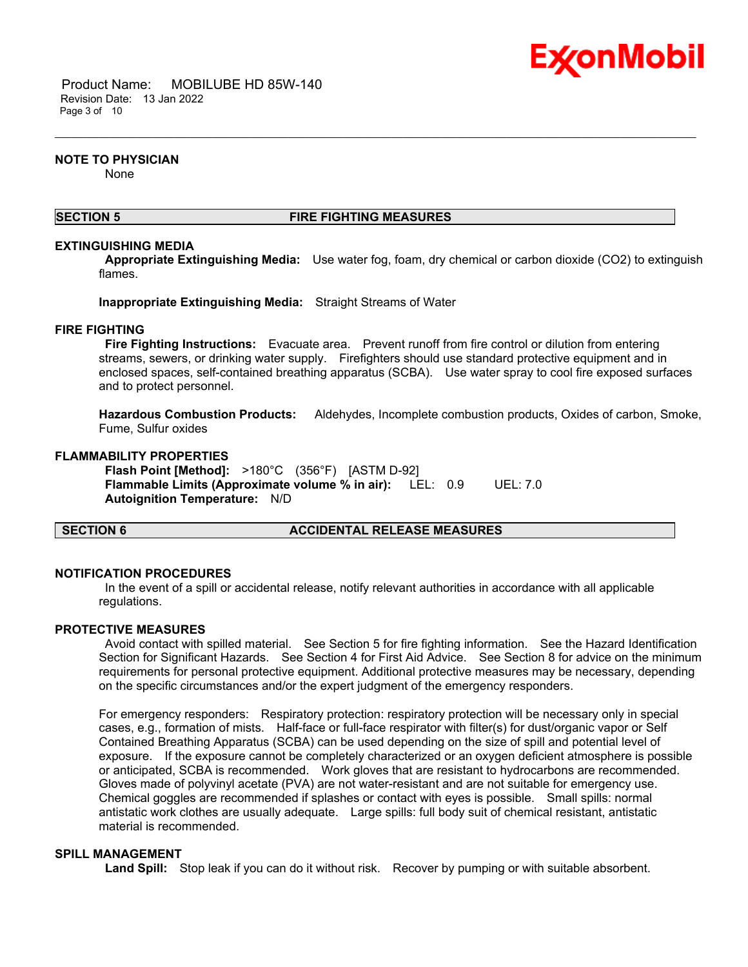

 Product Name: MOBILUBE HD 85W-140 Revision Date: 13 Jan 2022 Page 3 of 10

### **NOTE TO PHYSICIAN**

None

### **SECTION 5 FIRE FIGHTING MEASURES**

\_\_\_\_\_\_\_\_\_\_\_\_\_\_\_\_\_\_\_\_\_\_\_\_\_\_\_\_\_\_\_\_\_\_\_\_\_\_\_\_\_\_\_\_\_\_\_\_\_\_\_\_\_\_\_\_\_\_\_\_\_\_\_\_\_\_\_\_\_\_\_\_\_\_\_\_\_\_\_\_\_\_\_\_\_\_\_\_\_\_\_\_\_\_\_\_\_\_\_\_\_\_\_\_\_\_\_\_\_\_\_\_\_\_\_\_\_\_

### **EXTINGUISHING MEDIA**

**Appropriate Extinguishing Media:** Use water fog, foam, dry chemical or carbon dioxide (CO2) to extinguish flames.

**Inappropriate Extinguishing Media:** Straight Streams of Water

### **FIRE FIGHTING**

**Fire Fighting Instructions:** Evacuate area. Prevent runoff from fire control or dilution from entering streams, sewers, or drinking water supply. Firefighters should use standard protective equipment and in enclosed spaces, self-contained breathing apparatus (SCBA). Use water spray to cool fire exposed surfaces and to protect personnel.

**Hazardous Combustion Products:** Aldehydes, Incomplete combustion products, Oxides of carbon, Smoke, Fume, Sulfur oxides

### **FLAMMABILITY PROPERTIES**

**Flash Point [Method]:** >180°C (356°F) [ASTM D-92] **Flammable Limits (Approximate volume % in air):** LEL: 0.9 UEL: 7.0 **Autoignition Temperature:** N/D

### **SECTION 6 ACCIDENTAL RELEASE MEASURES**

### **NOTIFICATION PROCEDURES**

In the event of a spill or accidental release, notify relevant authorities in accordance with all applicable regulations.

### **PROTECTIVE MEASURES**

Avoid contact with spilled material. See Section 5 for fire fighting information. See the Hazard Identification Section for Significant Hazards. See Section 4 for First Aid Advice. See Section 8 for advice on the minimum requirements for personal protective equipment. Additional protective measures may be necessary, depending on the specific circumstances and/or the expert judgment of the emergency responders.

For emergency responders: Respiratory protection: respiratory protection will be necessary only in special cases, e.g., formation of mists. Half-face or full-face respirator with filter(s) for dust/organic vapor or Self Contained Breathing Apparatus (SCBA) can be used depending on the size of spill and potential level of exposure. If the exposure cannot be completely characterized or an oxygen deficient atmosphere is possible or anticipated, SCBA is recommended. Work gloves that are resistant to hydrocarbons are recommended. Gloves made of polyvinyl acetate (PVA) are not water-resistant and are not suitable for emergency use. Chemical goggles are recommended if splashes or contact with eyes is possible. Small spills: normal antistatic work clothes are usually adequate. Large spills: full body suit of chemical resistant, antistatic material is recommended.

### **SPILL MANAGEMENT**

**Land Spill:** Stop leak if you can do it without risk. Recover by pumping or with suitable absorbent.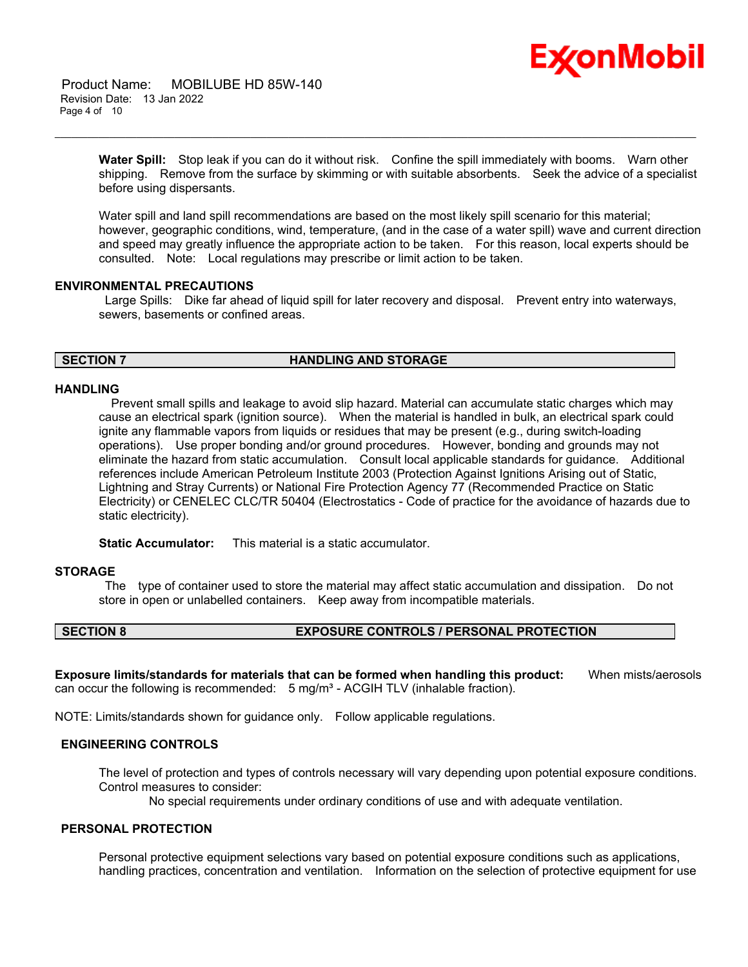# Ex⁄onMobil

 Product Name: MOBILUBE HD 85W-140 Revision Date: 13 Jan 2022 Page 4 of 10

> **Water Spill:** Stop leak if you can do it without risk. Confine the spill immediately with booms. Warn other shipping. Remove from the surface by skimming or with suitable absorbents. Seek the advice of a specialist before using dispersants.

\_\_\_\_\_\_\_\_\_\_\_\_\_\_\_\_\_\_\_\_\_\_\_\_\_\_\_\_\_\_\_\_\_\_\_\_\_\_\_\_\_\_\_\_\_\_\_\_\_\_\_\_\_\_\_\_\_\_\_\_\_\_\_\_\_\_\_\_\_\_\_\_\_\_\_\_\_\_\_\_\_\_\_\_\_\_\_\_\_\_\_\_\_\_\_\_\_\_\_\_\_\_\_\_\_\_\_\_\_\_\_\_\_\_\_\_\_\_

Water spill and land spill recommendations are based on the most likely spill scenario for this material; however, geographic conditions, wind, temperature, (and in the case of a water spill) wave and current direction and speed may greatly influence the appropriate action to be taken. For this reason, local experts should be consulted. Note: Local regulations may prescribe or limit action to be taken.

### **ENVIRONMENTAL PRECAUTIONS**

Large Spills: Dike far ahead of liquid spill for later recovery and disposal. Prevent entry into waterways, sewers, basements or confined areas.

### **SECTION 7 HANDLING AND STORAGE**

### **HANDLING**

 Prevent small spills and leakage to avoid slip hazard. Material can accumulate static charges which may cause an electrical spark (ignition source). When the material is handled in bulk, an electrical spark could ignite any flammable vapors from liquids or residues that may be present (e.g., during switch-loading operations). Use proper bonding and/or ground procedures. However, bonding and grounds may not eliminate the hazard from static accumulation. Consult local applicable standards for guidance. Additional references include American Petroleum Institute 2003 (Protection Against Ignitions Arising out of Static, Lightning and Stray Currents) or National Fire Protection Agency 77 (Recommended Practice on Static Electricity) or CENELEC CLC/TR 50404 (Electrostatics - Code of practice for the avoidance of hazards due to static electricity).

**Static Accumulator:** This material is a static accumulator.

### **STORAGE**

The type of container used to store the material may affect static accumulation and dissipation. Do not store in open or unlabelled containers. Keep away from incompatible materials.

### **SECTION 8 EXPOSURE CONTROLS / PERSONAL PROTECTION**

**Exposure limits/standards for materials that can be formed when handling this product:** When mists/aerosols can occur the following is recommended:  $5 \text{ mg/m}^3$  - ACGIH TLV (inhalable fraction).

NOTE: Limits/standards shown for guidance only. Follow applicable regulations.

### **ENGINEERING CONTROLS**

The level of protection and types of controls necessary will vary depending upon potential exposure conditions. Control measures to consider:

No special requirements under ordinary conditions of use and with adequate ventilation.

### **PERSONAL PROTECTION**

Personal protective equipment selections vary based on potential exposure conditions such as applications, handling practices, concentration and ventilation. Information on the selection of protective equipment for use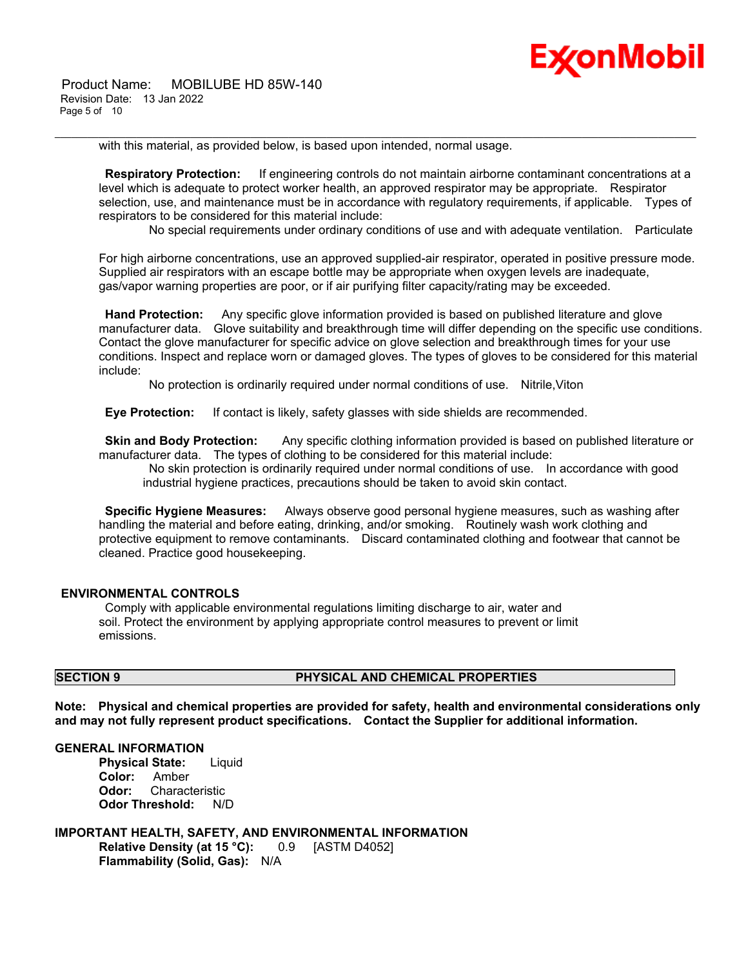

 Product Name: MOBILUBE HD 85W-140 Revision Date: 13 Jan 2022 Page 5 of 10

with this material, as provided below, is based upon intended, normal usage.

**Respiratory Protection:** If engineering controls do not maintain airborne contaminant concentrations at a level which is adequate to protect worker health, an approved respirator may be appropriate. Respirator selection, use, and maintenance must be in accordance with regulatory requirements, if applicable. Types of respirators to be considered for this material include:

\_\_\_\_\_\_\_\_\_\_\_\_\_\_\_\_\_\_\_\_\_\_\_\_\_\_\_\_\_\_\_\_\_\_\_\_\_\_\_\_\_\_\_\_\_\_\_\_\_\_\_\_\_\_\_\_\_\_\_\_\_\_\_\_\_\_\_\_\_\_\_\_\_\_\_\_\_\_\_\_\_\_\_\_\_\_\_\_\_\_\_\_\_\_\_\_\_\_\_\_\_\_\_\_\_\_\_\_\_\_\_\_\_\_\_\_\_\_

No special requirements under ordinary conditions of use and with adequate ventilation. Particulate

For high airborne concentrations, use an approved supplied-air respirator, operated in positive pressure mode. Supplied air respirators with an escape bottle may be appropriate when oxygen levels are inadequate, gas/vapor warning properties are poor, or if air purifying filter capacity/rating may be exceeded.

**Hand Protection:** Any specific glove information provided is based on published literature and glove manufacturer data. Glove suitability and breakthrough time will differ depending on the specific use conditions. Contact the glove manufacturer for specific advice on glove selection and breakthrough times for your use conditions. Inspect and replace worn or damaged gloves. The types of gloves to be considered for this material include:

No protection is ordinarily required under normal conditions of use. Nitrile,Viton

**Eye Protection:** If contact is likely, safety glasses with side shields are recommended.

**Skin and Body Protection:** Any specific clothing information provided is based on published literature or manufacturer data. The types of clothing to be considered for this material include:

No skin protection is ordinarily required under normal conditions of use. In accordance with good industrial hygiene practices, precautions should be taken to avoid skin contact.

**Specific Hygiene Measures:** Always observe good personal hygiene measures, such as washing after handling the material and before eating, drinking, and/or smoking. Routinely wash work clothing and protective equipment to remove contaminants. Discard contaminated clothing and footwear that cannot be cleaned. Practice good housekeeping.

### **ENVIRONMENTAL CONTROLS**

Comply with applicable environmental regulations limiting discharge to air, water and soil. Protect the environment by applying appropriate control measures to prevent or limit emissions.

### **SECTION 9 PHYSICAL AND CHEMICAL PROPERTIES**

**Note: Physical and chemical properties are provided for safety, health and environmental considerations only and may not fully represent product specifications. Contact the Supplier for additional information.**

### **GENERAL INFORMATION**

**Physical State:** Liquid **Color:** Amber **Odor:** Characteristic **Odor Threshold:** N/D

**IMPORTANT HEALTH, SAFETY, AND ENVIRONMENTAL INFORMATION Relative Density (at 15 °C):** 0.9 [ASTM D4052] **Flammability (Solid, Gas):** N/A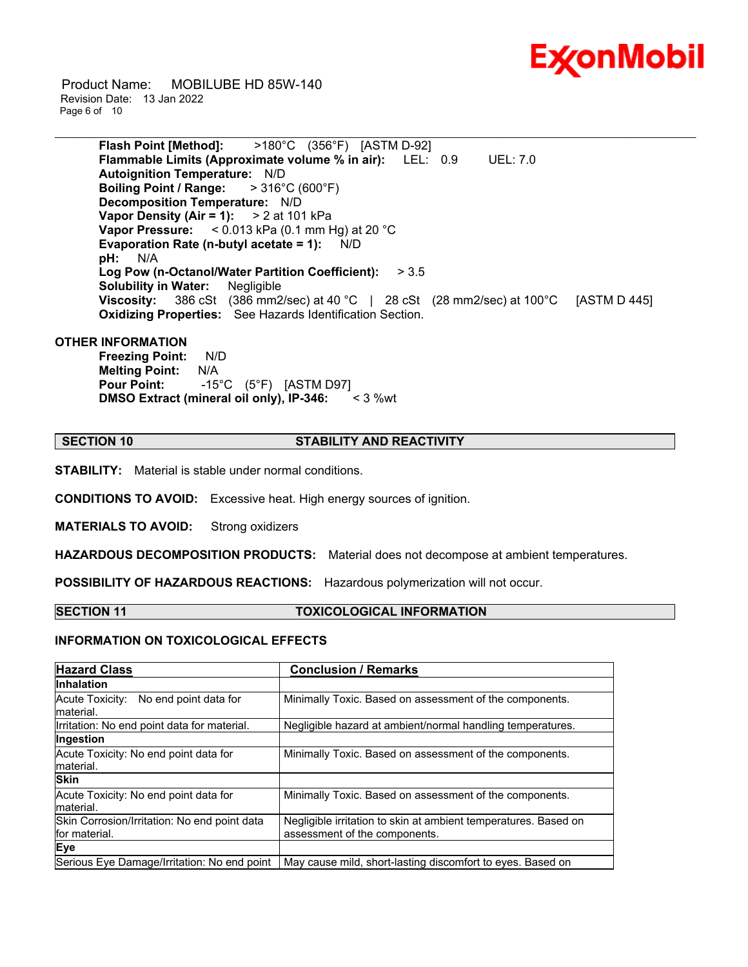

 Product Name: MOBILUBE HD 85W-140 Revision Date: 13 Jan 2022 Page 6 of 10

> **Flash Point [Method]:** >180°C (356°F) [ASTM D-92] **Flammable Limits (Approximate volume % in air):** LEL: 0.9 UEL: 7.0 **Autoignition Temperature:** N/D **Boiling Point / Range:** > 316°C (600°F) **Decomposition Temperature:** N/D **Vapor Density (Air = 1):** > 2 at 101 kPa **Vapor Pressure:** < 0.013 kPa (0.1 mm Hg) at 20 °C **Evaporation Rate (n-butyl acetate = 1):** N/D **pH:** N/A **Log Pow (n-Octanol/Water Partition Coefficient):** > 3.5 **Solubility in Water:** Negligible **Viscosity:** 386 cSt (386 mm2/sec) at 40 °C | 28 cSt (28 mm2/sec) at 100 °C [ASTM D 445] **Oxidizing Properties:** See Hazards Identification Section.

\_\_\_\_\_\_\_\_\_\_\_\_\_\_\_\_\_\_\_\_\_\_\_\_\_\_\_\_\_\_\_\_\_\_\_\_\_\_\_\_\_\_\_\_\_\_\_\_\_\_\_\_\_\_\_\_\_\_\_\_\_\_\_\_\_\_\_\_\_\_\_\_\_\_\_\_\_\_\_\_\_\_\_\_\_\_\_\_\_\_\_\_\_\_\_\_\_\_\_\_\_\_\_\_\_\_\_\_\_\_\_\_\_\_\_\_\_\_

### **OTHER INFORMATION**

**Freezing Point:** N/D **Melting Point:** N/A **Pour Point:** -15°C (5°F) [ASTM D97] **DMSO Extract (mineral oil only), IP-346:** < 3 %wt

### **SECTION 10 STABILITY AND REACTIVITY**

**STABILITY:** Material is stable under normal conditions.

**CONDITIONS TO AVOID:** Excessive heat. High energy sources of ignition.

**MATERIALS TO AVOID:** Strong oxidizers

**HAZARDOUS DECOMPOSITION PRODUCTS:** Material does not decompose at ambient temperatures.

**POSSIBILITY OF HAZARDOUS REACTIONS:** Hazardous polymerization will not occur.

### **SECTION 11 TOXICOLOGICAL INFORMATION**

### **INFORMATION ON TOXICOLOGICAL EFFECTS**

| <b>Hazard Class</b>                                           | <b>Conclusion / Remarks</b>                                                                      |  |
|---------------------------------------------------------------|--------------------------------------------------------------------------------------------------|--|
| <b>Inhalation</b>                                             |                                                                                                  |  |
| Acute Toxicity: No end point data for<br>material.            | Minimally Toxic. Based on assessment of the components.                                          |  |
| Irritation: No end point data for material.                   | Negligible hazard at ambient/normal handling temperatures.                                       |  |
| Ingestion                                                     |                                                                                                  |  |
| Acute Toxicity: No end point data for<br>material.            | Minimally Toxic. Based on assessment of the components.                                          |  |
| <b>Skin</b>                                                   |                                                                                                  |  |
| Acute Toxicity: No end point data for<br>material.            | Minimally Toxic. Based on assessment of the components.                                          |  |
| Skin Corrosion/Irritation: No end point data<br>for material. | Negligible irritation to skin at ambient temperatures. Based on<br>assessment of the components. |  |
| Eye                                                           |                                                                                                  |  |
| Serious Eye Damage/Irritation: No end point                   | May cause mild, short-lasting discomfort to eyes. Based on                                       |  |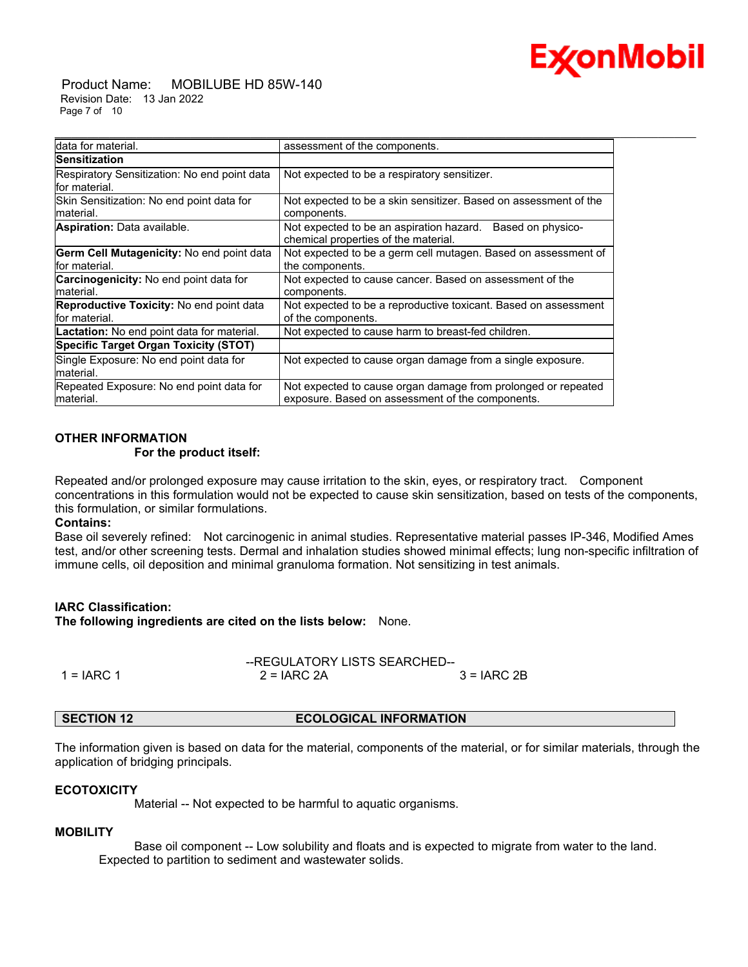# Ex⁄onMobil

 Product Name: MOBILUBE HD 85W-140 Revision Date: 13 Jan 2022 Page 7 of 10

| Idata for material.                                               | assessment of the components.                                                                                     |
|-------------------------------------------------------------------|-------------------------------------------------------------------------------------------------------------------|
| <b>Sensitization</b>                                              |                                                                                                                   |
| Respiratory Sensitization: No end point data<br>lfor material.    | Not expected to be a respiratory sensitizer.                                                                      |
| Skin Sensitization: No end point data for<br>lmaterial.           | Not expected to be a skin sensitizer. Based on assessment of the<br>components.                                   |
| Aspiration: Data available.                                       | Not expected to be an aspiration hazard. Based on physico-<br>chemical properties of the material.                |
| <b>Germ Cell Mutagenicity: No end point data</b><br>for material. | Not expected to be a germ cell mutagen. Based on assessment of<br>the components.                                 |
| <b>Carcinogenicity:</b> No end point data for<br>material.        | Not expected to cause cancer. Based on assessment of the<br>components.                                           |
| Reproductive Toxicity: No end point data<br>lfor material.        | Not expected to be a reproductive toxicant. Based on assessment<br>of the components.                             |
| <b>Lactation:</b> No end point data for material.                 | Not expected to cause harm to breast-fed children.                                                                |
| Specific Target Organ Toxicity (STOT)                             |                                                                                                                   |
| Single Exposure: No end point data for<br>material.               | Not expected to cause organ damage from a single exposure.                                                        |
| Repeated Exposure: No end point data for<br>material.             | Not expected to cause organ damage from prolonged or repeated<br>exposure. Based on assessment of the components. |

### **OTHER INFORMATION**

### **For the product itself:**

Repeated and/or prolonged exposure may cause irritation to the skin, eyes, or respiratory tract. Component concentrations in this formulation would not be expected to cause skin sensitization, based on tests of the components, this formulation, or similar formulations.

### **Contains:**

Base oil severely refined: Not carcinogenic in animal studies. Representative material passes IP-346, Modified Ames test, and/or other screening tests. Dermal and inhalation studies showed minimal effects; lung non-specific infiltration of immune cells, oil deposition and minimal granuloma formation. Not sensitizing in test animals.

### **IARC Classification:**

**The following ingredients are cited on the lists below:** None.

|              |               | --REGULATORY LISTS SEARCHED-- |  |  |
|--------------|---------------|-------------------------------|--|--|
| $1 = IARC 1$ | $2 = IARC 2A$ | $3 = IARC2B$                  |  |  |

### **SECTION 12 ECOLOGICAL INFORMATION**

The information given is based on data for the material, components of the material, or for similar materials, through the application of bridging principals.

### **ECOTOXICITY**

Material -- Not expected to be harmful to aquatic organisms.

### **MOBILITY**

 Base oil component -- Low solubility and floats and is expected to migrate from water to the land. Expected to partition to sediment and wastewater solids.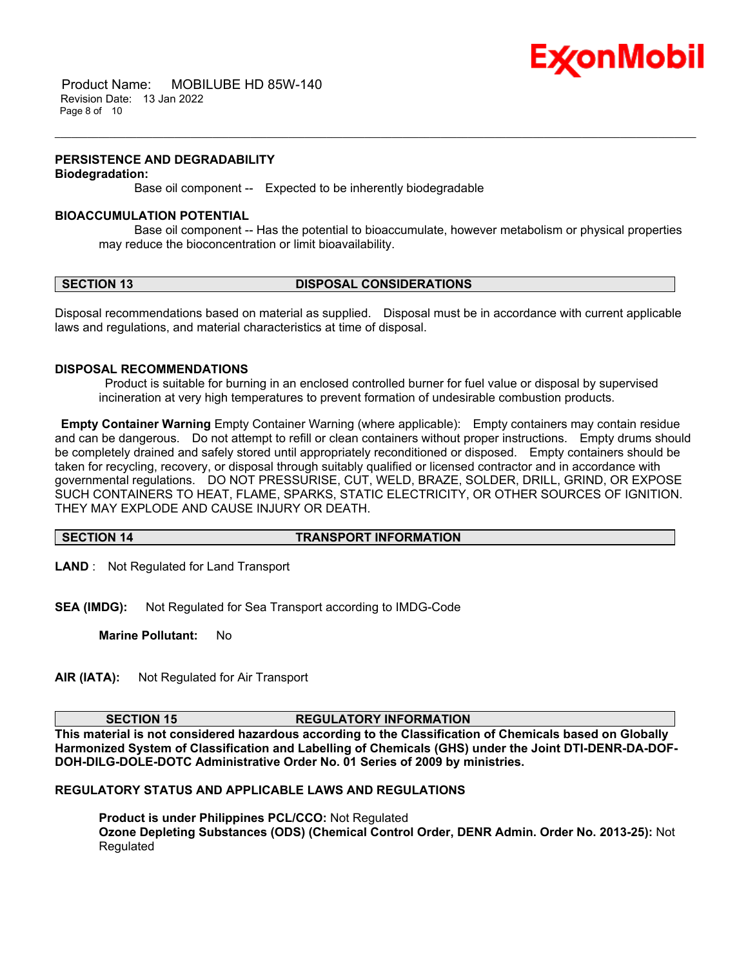

 Product Name: MOBILUBE HD 85W-140 Revision Date: 13 Jan 2022 Page 8 of 10

### **PERSISTENCE AND DEGRADABILITY**

### **Biodegradation:**

Base oil component -- Expected to be inherently biodegradable

### **BIOACCUMULATION POTENTIAL**

 Base oil component -- Has the potential to bioaccumulate, however metabolism or physical properties may reduce the bioconcentration or limit bioavailability.

\_\_\_\_\_\_\_\_\_\_\_\_\_\_\_\_\_\_\_\_\_\_\_\_\_\_\_\_\_\_\_\_\_\_\_\_\_\_\_\_\_\_\_\_\_\_\_\_\_\_\_\_\_\_\_\_\_\_\_\_\_\_\_\_\_\_\_\_\_\_\_\_\_\_\_\_\_\_\_\_\_\_\_\_\_\_\_\_\_\_\_\_\_\_\_\_\_\_\_\_\_\_\_\_\_\_\_\_\_\_\_\_\_\_\_\_\_\_

### **SECTION 13 DISPOSAL CONSIDERATIONS**

Disposal recommendations based on material as supplied. Disposal must be in accordance with current applicable laws and regulations, and material characteristics at time of disposal.

### **DISPOSAL RECOMMENDATIONS**

Product is suitable for burning in an enclosed controlled burner for fuel value or disposal by supervised incineration at very high temperatures to prevent formation of undesirable combustion products.

**Empty Container Warning** Empty Container Warning (where applicable): Empty containers may contain residue and can be dangerous. Do not attempt to refill or clean containers without proper instructions. Empty drums should be completely drained and safely stored until appropriately reconditioned or disposed. Empty containers should be taken for recycling, recovery, or disposal through suitably qualified or licensed contractor and in accordance with governmental regulations. DO NOT PRESSURISE, CUT, WELD, BRAZE, SOLDER, DRILL, GRIND, OR EXPOSE SUCH CONTAINERS TO HEAT, FLAME, SPARKS, STATIC ELECTRICITY, OR OTHER SOURCES OF IGNITION. THEY MAY EXPLODE AND CAUSE INJURY OR DEATH.

### **SECTION 14 TRANSPORT INFORMATION**

**LAND** : Not Regulated for Land Transport

**SEA (IMDG):** Not Regulated for Sea Transport according to IMDG-Code

**Marine Pollutant:** No

**AIR (IATA):** Not Regulated for Air Transport

### **SECTION 15 REGULATORY INFORMATION**

**This material is not considered hazardous according to the Classification of Chemicals based on Globally Harmonized System of Classification and Labelling of Chemicals (GHS) under the Joint DTI-DENR-DA-DOF-DOH-DILG-DOLE-DOTC Administrative Order No. 01 Series of 2009 by ministries.**

### **REGULATORY STATUS AND APPLICABLE LAWS AND REGULATIONS**

**Product is under Philippines PCL/CCO:** Not Regulated **Ozone Depleting Substances (ODS) (Chemical Control Order, DENR Admin. Order No. 2013-25):** Not Regulated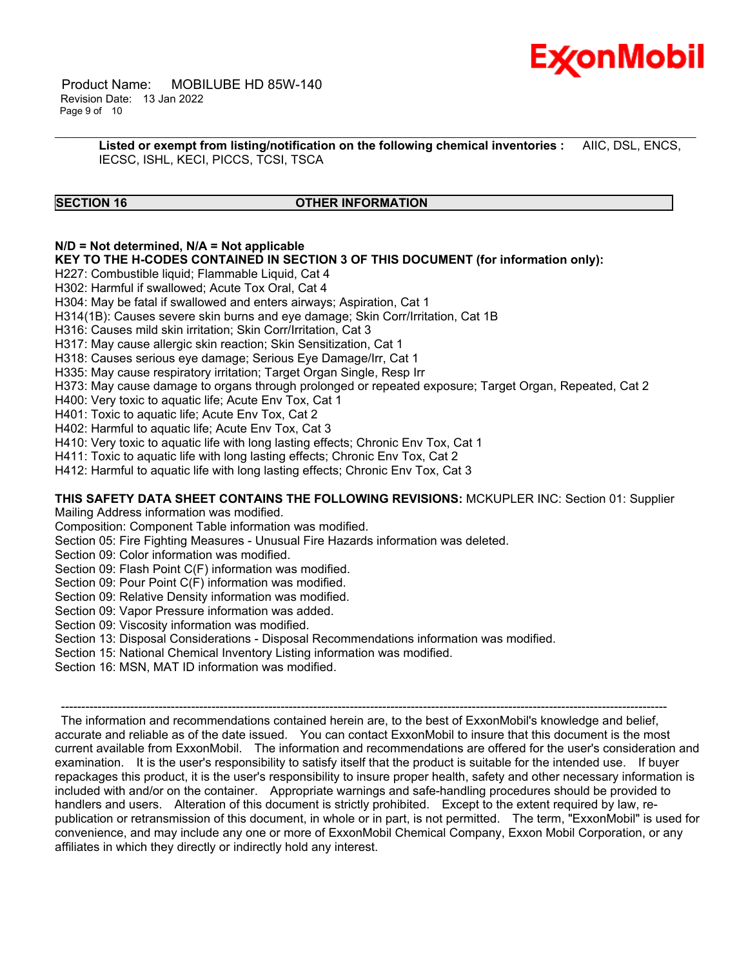

 Product Name: MOBILUBE HD 85W-140 Revision Date: 13 Jan 2022 Page 9 of 10

> **Listed or exempt from listing/notification on the following chemical inventories :** AIIC, DSL, ENCS, IECSC, ISHL, KECI, PICCS, TCSI, TSCA

\_\_\_\_\_\_\_\_\_\_\_\_\_\_\_\_\_\_\_\_\_\_\_\_\_\_\_\_\_\_\_\_\_\_\_\_\_\_\_\_\_\_\_\_\_\_\_\_\_\_\_\_\_\_\_\_\_\_\_\_\_\_\_\_\_\_\_\_\_\_\_\_\_\_\_\_\_\_\_\_\_\_\_\_\_\_\_\_\_\_\_\_\_\_\_\_\_\_\_\_\_\_\_\_\_\_\_\_\_\_\_\_\_\_\_\_\_\_

### **SECTION 16 OTHER INFORMATION**

### **N/D = Not determined, N/A = Not applicable**

**KEY TO THE H-CODES CONTAINED IN SECTION 3 OF THIS DOCUMENT (for information only):**

H227: Combustible liquid; Flammable Liquid, Cat 4

H302: Harmful if swallowed; Acute Tox Oral, Cat 4

H304: May be fatal if swallowed and enters airways; Aspiration, Cat 1

H314(1B): Causes severe skin burns and eye damage; Skin Corr/Irritation, Cat 1B

H316: Causes mild skin irritation; Skin Corr/Irritation, Cat 3

H317: May cause allergic skin reaction; Skin Sensitization, Cat 1

H318: Causes serious eye damage; Serious Eye Damage/Irr, Cat 1

H335: May cause respiratory irritation; Target Organ Single, Resp Irr

H373: May cause damage to organs through prolonged or repeated exposure; Target Organ, Repeated, Cat 2

H400: Very toxic to aquatic life; Acute Env Tox, Cat 1

H401: Toxic to aquatic life; Acute Env Tox, Cat 2

H402: Harmful to aquatic life; Acute Env Tox, Cat 3

H410: Very toxic to aquatic life with long lasting effects; Chronic Env Tox, Cat 1

H411: Toxic to aquatic life with long lasting effects; Chronic Env Tox, Cat 2

H412: Harmful to aquatic life with long lasting effects; Chronic Env Tox, Cat 3

### **THIS SAFETY DATA SHEET CONTAINS THE FOLLOWING REVISIONS:** MCKUPLER INC: Section 01: Supplier

Mailing Address information was modified.

Composition: Component Table information was modified.

Section 05: Fire Fighting Measures - Unusual Fire Hazards information was deleted.

Section 09: Color information was modified.

Section 09: Flash Point C(F) information was modified.

Section 09: Pour Point C(F) information was modified.

Section 09: Relative Density information was modified.

Section 09: Vapor Pressure information was added.

Section 09: Viscosity information was modified.

Section 13: Disposal Considerations - Disposal Recommendations information was modified.

Section 15: National Chemical Inventory Listing information was modified.

Section 16: MSN, MAT ID information was modified.

----------------------------------------------------------------------------------------------------------------------------------------------------- The information and recommendations contained herein are, to the best of ExxonMobil's knowledge and belief, accurate and reliable as of the date issued. You can contact ExxonMobil to insure that this document is the most current available from ExxonMobil. The information and recommendations are offered for the user's consideration and examination. It is the user's responsibility to satisfy itself that the product is suitable for the intended use. If buyer repackages this product, it is the user's responsibility to insure proper health, safety and other necessary information is included with and/or on the container. Appropriate warnings and safe-handling procedures should be provided to handlers and users. Alteration of this document is strictly prohibited. Except to the extent required by law, republication or retransmission of this document, in whole or in part, is not permitted. The term, "ExxonMobil" is used for convenience, and may include any one or more of ExxonMobil Chemical Company, Exxon Mobil Corporation, or any affiliates in which they directly or indirectly hold any interest.